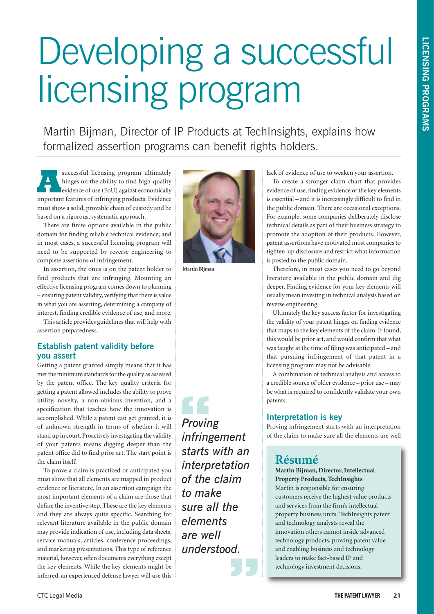# Developing a successful licensing program

Martin Bijman, Director of IP Products at TechInsights, explains how formalized assertion programs can benefit rights holders.

successful licensing program ultimately<br>hinges on the ability to find high-quality<br>evidence of use (EoU) against economically<br>important features of infringing products Fyidence hinges on the ability to find high-quality evidence of use (EoU) against economically important features of infringing products. Evidence must show a solid, provable chain of custody and be based on a rigorous, systematic approach.

There are finite options available in the public domain for finding reliable technical evidence; and in most cases, a successful licensing program will need to be supported by reverse engineering to complete assertions of infringement.

In assertion, the onus is on the patent holder to find products that are infringing. Mounting an effective licensing program comes down to planning – ensuring patent validity, verifying that there is value in what you are asserting, determining a company of interest, finding credible evidence of use, and more.

This article provides guidelines that will help with assertion preparedness.

### **Establish patent validity before you assert**

Getting a patent granted simply means that it has met the minimum standards for the quality as assessed by the patent office. The key quality criteria for getting a patent allowed includes the ability to prove utility, novelty, a non-obvious invention, and a specification that teaches how the innovation is accomplished. While a patent can get granted, it is of unknown strength in terms of whether it will stand up in court. Proactively investigating the validity of your patents means digging deeper than the patent office did to find prior art. The start point is the claim itself.

To prove a claim is practiced or anticipated you must show that all elements are mapped in product evidence or literature. In an assertion campaign the most important elements of a claim are those that define the inventive step. These are the key elements and they are always quite specific. Searching for relevant literature available in the public domain may provide indication of use, including data sheets, service manuals, articles, conference proceedings, and marketing presentations. This type of reference material, however, often documents everything except the key elements. While the key elements might be inferred, an experienced defense lawyer will use this



**Martin Bijman**

*Proving infringement starts with an interpretation of the claim to make sure all the elements are well understood.* **"**<br>**"**<br>**Provin**<br>**infring** 

**"**

lack of evidence of use to weaken your assertion.

To create a stronger claim chart that provides evidence of use, finding evidence of the key elements is essential – and it is increasingly difficult to find in the public domain. There are occasional exceptions. For example, some companies deliberately disclose technical details as part of their business strategy to promote the adoption of their products. However, patent assertions have motivated most companies to tighten-up disclosure and restrict what information is posted to the public domain.

Therefore, in most cases you need to go beyond literature available in the public domain and dig deeper. Finding evidence for your key elements will usually mean investing in technical analysis based on reverse engineering.

Ultimately the key success factor for investigating the validity of your patent hinges on finding evidence that maps to the key elements of the claim. If found, this would be prior art, and would confirm that what was taught at the time of filing was anticipated – and that pursuing infringement of that patent in a licensing program may not be advisable.

A combination of technical analysis and access to a credible source of older evidence – prior use – may be what is required to confidently validate your own patents.

# **Interpretation is key**

Proving infringement starts with an interpretation of the claim to make sure all the elements are well

# **Résumé**

**Martin Bijman, Director, Intellectual Property Products, TechInsights** Martin is responsible for ensuring customers receive the highest value products and services from the firm's intellectual property business units. TechInsights patent and technology analysts reveal the innovation others cannot inside advanced technology products, proving patent value and enabling business and technology leaders to make fact-based IP and technology investment decisions.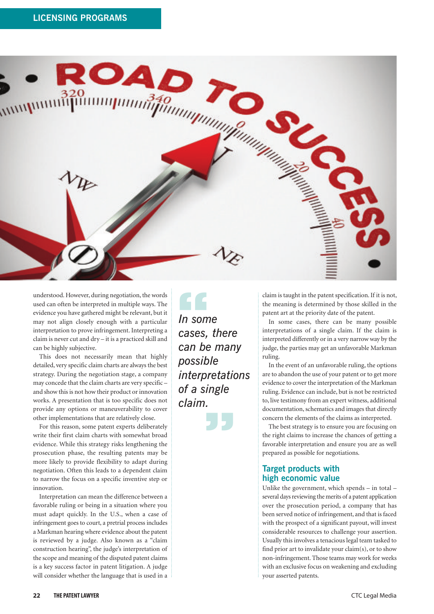

understood. However, during negotiation, the words used can often be interpreted in multiple ways. The evidence you have gathered might be relevant, but it may not align closely enough with a particular interpretation to prove infringement. Interpreting a claim is never cut and dry – it is a practiced skill and can be highly subjective.

This does not necessarily mean that highly detailed, very specific claim charts are always the best strategy. During the negotiation stage, a company may concede that the claim charts are very specific – and show this is not how their product or innovation works. A presentation that is too specific does not provide any options or maneuverability to cover other implementations that are relatively close.

For this reason, some patent experts deliberately write their first claim charts with somewhat broad evidence. While this strategy risks lengthening the prosecution phase, the resulting patents may be more likely to provide flexibility to adapt during negotiation. Often this leads to a dependent claim to narrow the focus on a specific inventive step or innovation.

Interpretation can mean the difference between a favorable ruling or being in a situation where you must adapt quickly. In the U.S., when a case of infringement goes to court, a pretrial process includes a Markman hearing where evidence about the patent is reviewed by a judge. Also known as a "claim construction hearing", the judge's interpretation of the scope and meaning of the disputed patent claims is a key success factor in patent litigation. A judge will consider whether the language that is used in a

*In some cases, there can be many possible interpretations of a single claim.* **" "**

claim is taught in the patent specification. If it is not, the meaning is determined by those skilled in the patent art at the priority date of the patent.

In some cases, there can be many possible interpretations of a single claim. If the claim is interpreted differently or in a very narrow way by the judge, the parties may get an unfavorable Markman ruling.

In the event of an unfavorable ruling, the options are to abandon the use of your patent or to get more evidence to cover the interpretation of the Markman ruling. Evidence can include, but is not be restricted to, live testimony from an expert witness, additional documentation, schematics and images that directly concern the elements of the claims as interpreted.

The best strategy is to ensure you are focusing on the right claims to increase the chances of getting a favorable interpretation and ensure you are as well prepared as possible for negotiations.

## **Target products with high economic value**

Unlike the government, which spends – in total – several days reviewing the merits of a patent application over the prosecution period, a company that has been served notice of infringement, and that is faced with the prospect of a significant payout, will invest considerable resources to challenge your assertion. Usually this involves a tenacious legal team tasked to find prior art to invalidate your claim(s), or to show non-infringement. Those teams may work for weeks with an exclusive focus on weakening and excluding your asserted patents.